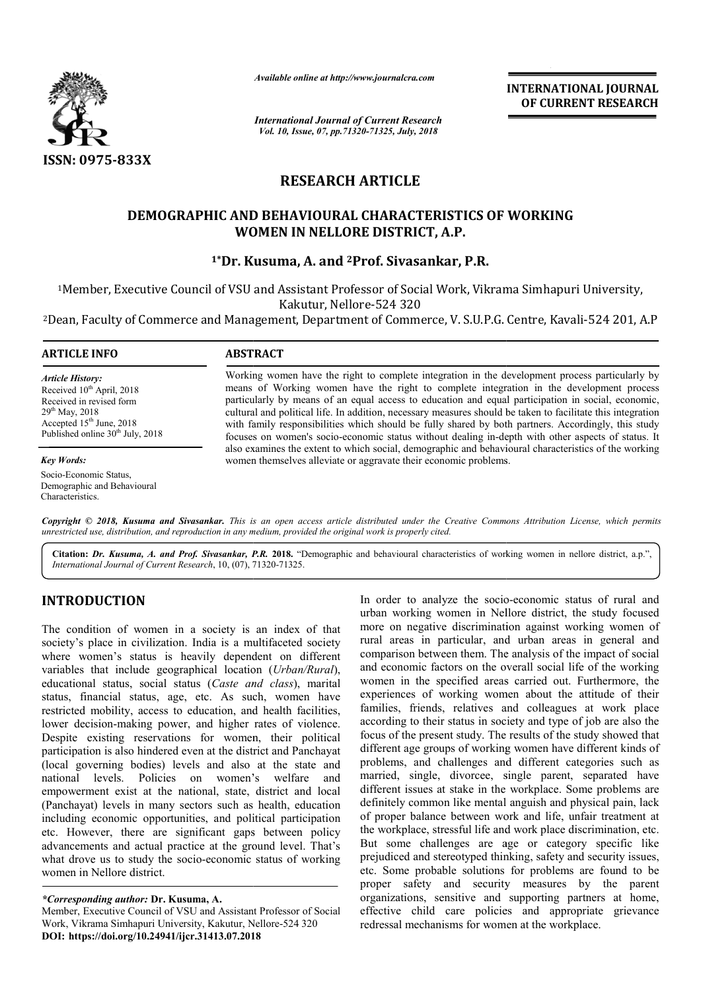

*Available online at http://www.journalcra.com*

*International Journal of Current Research Vol. 10, Issue, 07, pp.71320-71325, July, 2018*

**INTERNATIONAL JOURNAL OF CURRENT RESEARCH**

# **RESEARCH ARTICLE**

# **DEMOGRAPHIC AND BEHAVIOURAL CHARACTERISTICS OF WORKING WOMEN IN NELLORE DISTRICT, A.P.**

# **1\*Dr. Kusuma, A. and 2Prof. Sivasankar, P.R.**

<sup>1</sup>Member, Executive Council of VSU and Assistant Professor of Social Work, Vikrama Simhapuri University, Kakutur, Nellore-524 320

<sup>2</sup>Dean, Faculty of Commerce and Management, Department of Commerce, V. S.U.P.G. Centre, Kavali-524 201, A.P

## **ARTICLE INFO ABSTRACT**

*Article History:* Received 10<sup>th</sup> April, 2018 Received in revised form  $29^{th}$  May,  $2018$ Accepted 15<sup>th</sup> June, 2018 Published online  $30<sup>th</sup>$  July, 2018

*Key Words:*

Socio-Economic Status, Demographic and Behavioural Characteristics.

Working women have the right to complete integration in the development process particularly by means of Working women have the right to complete integration in the development process particularly by means of an equal access to education and equal participation in social, economic, cultural and political life. In addition, necessary measures should be taken to facilitate this integration with family responsibilities which should be fully shared by both partners. Accordingly, this study focuses on women's socio-economic status without dealing in-depth with other aspects of status. It also examines the extent to which social, demographic and behavioural characteristics of the working women themselves alleviate or aggravate their economic problems. particularly by means of an equal access to education and equal participation in social, economic, cultural and political life. In addition, necessary measures should be taken to facilitate this integration with family res

Copyright © 2018, Kusuma and Sivasankar. This is an open access article distributed under the Creative Commons Attribution License, which permits *unrestricted use, distribution, and reproduction in any medium, provided the original work is properly cited.*

**Citation:** *Dr. Kusuma, A. and Prof. Sivasankar, P.R.* **2018.** "Demographic and behavioural characteristics of working women in nellore district, a.p.",*International Journal of Current Research*, 10, (07), 71320 71320-71325.

# **INTRODUCTION**

The condition of women in a society is an index of that society's place in civilization. India is a multifaceted society where women's status is heavily dependent on different variables that include geographical location (*Urban/Rural*), educational status, social status (*Caste and class*), marital status, financial status, age, etc. As such, women have restricted mobility, access to education, and health facilities, lower decision-making power, and higher rates of violence. Despite existing reservations for women, their political participation is also hindered even at the district and Panchayat (local governing bodies) levels and also at the state and national levels. Policies on women's welfare and empowerment exist at the national, state, district and local (Panchayat) levels in many sectors such as health, education including economic opportunities, and political participation etc. However, there are significant gaps between policy advancements and actual practice at the ground level. That's what drove us to study the socio-economic status of working women in Nellore district.

Member, Executive Council of VSU and Assistant Professor of Social Work, Vikrama Simhapuri University, Kakutur, Nellore Nellore-524 320 **DOI: https://doi.org/10.24941/ijcr.31413.07.2018**

In order to analyze the socion whisting women in Nel<br>s a multifaceted society mural areas in particular, and<br>dependent on different comparison between them. The<br>location (*Urban/Rural*), and economic factors on the orste a urban working women in Nellore district, the study focused more on negative discrimination against working women of rural areas in particular, and urban areas in general and comparison between them. The analysis of the impact of social and economic factors on the overall social life of the working women in the specified areas carried out. Furthermore, the experiences of working women about the attitude of their families, friends, relatives and colleagues at work place according to their status in society and type of job are also the focus of the present study. The results of the study showed that different age groups of working women have different kinds of problems, and challenges and different categories such as married, single, divorcee, single parent, separated have different issues at stake in the workplace. Some problems are definitely common like mental anguish and physical pain, lack of proper balance between work and life, unfair treatment at the workplace, stressful life and work place discrimination, etc. But some challenges are age or category specific like prejudiced and stereotyped thinking, safety and security issues, etc. Some probable solutions for problems are found to be proper safety and security measures by the parent organizations, sensitive and supporting partners at home, effective child care policies and appropriate grievance redressal mechanisms for women at the workplace. In order to analyze the socio-economic status of rural and

*<sup>\*</sup>Corresponding author:* **Dr. Kusuma, A.**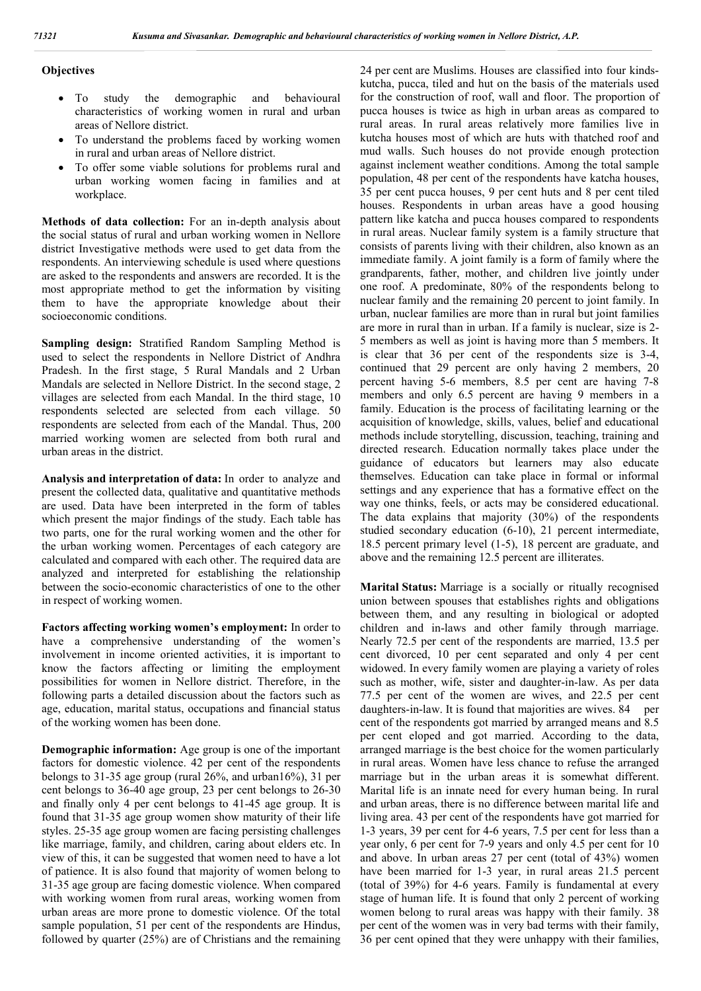### **Objectives**

- To study the demographic and behavioural characteristics of working women in rural and urban areas of Nellore district.
- To understand the problems faced by working women in rural and urban areas of Nellore district.
- To offer some viable solutions for problems rural and urban working women facing in families and at workplace.

**Methods of data collection:** For an in-depth analysis about the social status of rural and urban working women in Nellore district Investigative methods were used to get data from the respondents. An interviewing schedule is used where questions are asked to the respondents and answers are recorded. It is the most appropriate method to get the information by visiting them to have the appropriate knowledge about their socioeconomic conditions.

**Sampling design:** Stratified Random Sampling Method is used to select the respondents in Nellore District of Andhra Pradesh. In the first stage, 5 Rural Mandals and 2 Urban Mandals are selected in Nellore District. In the second stage, 2 villages are selected from each Mandal. In the third stage, 10 respondents selected are selected from each village. 50 respondents are selected from each of the Mandal. Thus, 200 married working women are selected from both rural and urban areas in the district.

**Analysis and interpretation of data:** In order to analyze and present the collected data, qualitative and quantitative methods are used. Data have been interpreted in the form of tables which present the major findings of the study. Each table has two parts, one for the rural working women and the other for the urban working women. Percentages of each category are calculated and compared with each other. The required data are analyzed and interpreted for establishing the relationship between the socio-economic characteristics of one to the other in respect of working women.

**Factors affecting working women's employment:** In order to have a comprehensive understanding of the women's involvement in income oriented activities, it is important to know the factors affecting or limiting the employment possibilities for women in Nellore district. Therefore, in the following parts a detailed discussion about the factors such as age, education, marital status, occupations and financial status of the working women has been done.

**Demographic information:** Age group is one of the important factors for domestic violence. 42 per cent of the respondents belongs to 31-35 age group (rural  $26\%$ , and urban $16\%$ ), 31 per cent belongs to 36-40 age group, 23 per cent belongs to 26-30 and finally only 4 per cent belongs to 41-45 age group. It is found that 31-35 age group women show maturity of their life styles. 25-35 age group women are facing persisting challenges like marriage, family, and children, caring about elders etc. In view of this, it can be suggested that women need to have a lot of patience. It is also found that majority of women belong to 31-35 age group are facing domestic violence. When compared with working women from rural areas, working women from urban areas are more prone to domestic violence. Of the total sample population, 51 per cent of the respondents are Hindus, followed by quarter (25%) are of Christians and the remaining 24 per cent are Muslims. Houses are classified into four kindskutcha, pucca, tiled and hut on the basis of the materials used for the construction of roof, wall and floor. The proportion of pucca houses is twice as high in urban areas as compared to rural areas. In rural areas relatively more families live in kutcha houses most of which are huts with thatched roof and mud walls. Such houses do not provide enough protection against inclement weather conditions. Among the total sample population, 48 per cent of the respondents have katcha houses, 35 per cent pucca houses, 9 per cent huts and 8 per cent tiled houses. Respondents in urban areas have a good housing pattern like katcha and pucca houses compared to respondents in rural areas. Nuclear family system is a family structure that consists of parents living with their children, also known as an immediate family. A joint family is a form of family where the grandparents, father, mother, and children live jointly under one roof. A predominate, 80% of the respondents belong to nuclear family and the remaining 20 percent to joint family. In urban, nuclear families are more than in rural but joint families are more in rural than in urban. If a family is nuclear, size is 2- 5 members as well as joint is having more than 5 members. It is clear that 36 per cent of the respondents size is 3-4, continued that 29 percent are only having 2 members, 20 percent having 5-6 members, 8.5 per cent are having 7-8 members and only 6.5 percent are having 9 members in a family. Education is the process of facilitating learning or the acquisition of knowledge, skills, values, belief and educational methods include storytelling, discussion, teaching, training and directed research. Education normally takes place under the guidance of educators but learners may also educate themselves. Education can take place in formal or informal settings and any experience that has a formative effect on the way one thinks, feels, or acts may be considered educational. The data explains that majority (30%) of the respondents studied secondary education (6-10), 21 percent intermediate, 18.5 percent primary level (1-5), 18 percent are graduate, and above and the remaining 12.5 percent are illiterates.

**Marital Status:** Marriage is a socially or ritually recognised union between spouses that establishes rights and obligations between them, and any resulting in biological or adopted children and in-laws and other family through marriage. Nearly 72.5 per cent of the respondents are married, 13.5 per cent divorced, 10 per cent separated and only 4 per cent widowed. In every family women are playing a variety of roles such as mother, wife, sister and daughter-in-law. As per data 77.5 per cent of the women are wives, and 22.5 per cent daughters-in-law. It is found that majorities are wives. 84 per cent of the respondents got married by arranged means and 8.5 per cent eloped and got married. According to the data, arranged marriage is the best choice for the women particularly in rural areas. Women have less chance to refuse the arranged marriage but in the urban areas it is somewhat different. Marital life is an innate need for every human being. In rural and urban areas, there is no difference between marital life and living area. 43 per cent of the respondents have got married for 1-3 years, 39 per cent for 4-6 years, 7.5 per cent for less than a year only, 6 per cent for 7-9 years and only 4.5 per cent for 10 and above. In urban areas 27 per cent (total of 43%) women have been married for 1-3 year, in rural areas 21.5 percent (total of 39%) for 4-6 years. Family is fundamental at every stage of human life. It is found that only 2 percent of working women belong to rural areas was happy with their family. 38 per cent of the women was in very bad terms with their family, 36 per cent opined that they were unhappy with their families,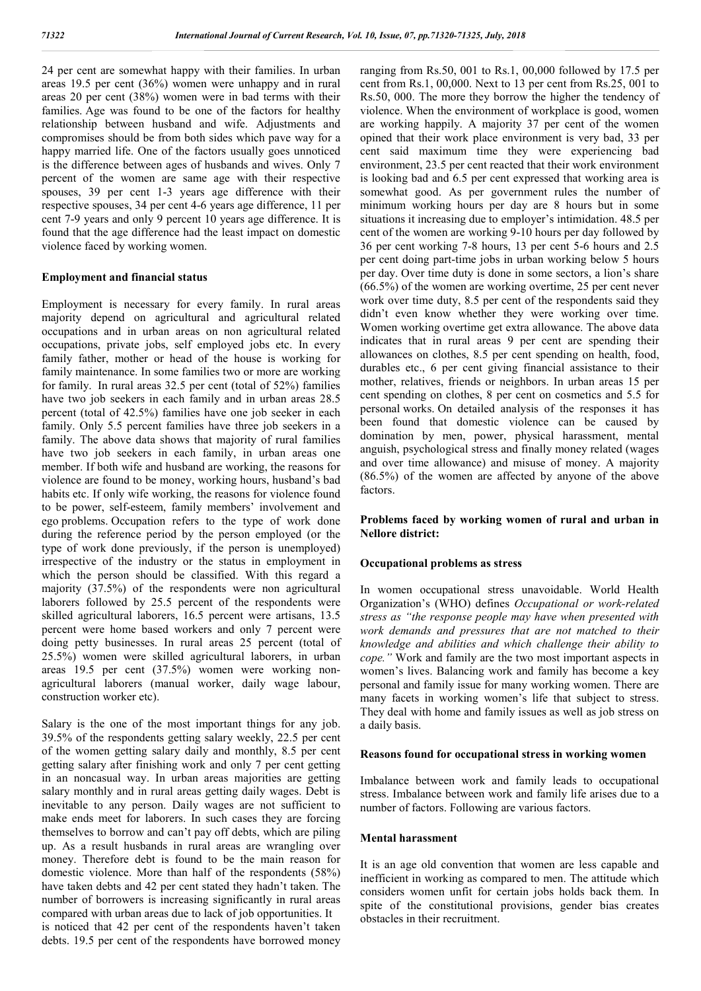24 per cent are somewhat happy with their families. In urban areas 19.5 per cent (36%) women were unhappy and in rural areas 20 per cent (38%) women were in bad terms with their families. Age was found to be one of the factors for healthy relationship between husband and wife. Adjustments and compromises should be from both sides which pave way for a happy married life. One of the factors usually goes unnoticed is the difference between ages of husbands and wives. Only 7 percent of the women are same age with their respective spouses, 39 per cent 1-3 years age difference with their respective spouses, 34 per cent 4-6 years age difference, 11 per cent 7-9 years and only 9 percent 10 years age difference. It is found that the age difference had the least impact on domestic violence faced by working women.

#### **Employment and financial status**

Employment is necessary for every family. In rural areas majority depend on agricultural and agricultural related occupations and in urban areas on non agricultural related occupations, private jobs, self employed jobs etc. In every family father, mother or head of the house is working for family maintenance. In some families two or more are working for family. In rural areas 32.5 per cent (total of 52%) families have two job seekers in each family and in urban areas 28.5 percent (total of 42.5%) families have one job seeker in each family. Only 5.5 percent families have three job seekers in a family. The above data shows that majority of rural families have two job seekers in each family, in urban areas one member. If both wife and husband are working, the reasons for violence are found to be money, working hours, husband's bad habits etc. If only wife working, the reasons for violence found to be power, self-esteem, family members' involvement and ego problems. Occupation refers to the type of work done during the reference period by the person employed (or the type of work done previously, if the person is unemployed) irrespective of the industry or the status in employment in which the person should be classified. With this regard a majority (37.5%) of the respondents were non agricultural laborers followed by 25.5 percent of the respondents were skilled agricultural laborers, 16.5 percent were artisans, 13.5 percent were home based workers and only 7 percent were doing petty businesses. In rural areas 25 percent (total of 25.5%) women were skilled agricultural laborers, in urban areas 19.5 per cent (37.5%) women were working nonagricultural laborers (manual worker, daily wage labour, construction worker etc).

Salary is the one of the most important things for any job. 39.5% of the respondents getting salary weekly, 22.5 per cent of the women getting salary daily and monthly, 8.5 per cent getting salary after finishing work and only 7 per cent getting in an noncasual way. In urban areas majorities are getting salary monthly and in rural areas getting daily wages. Debt is inevitable to any person. Daily wages are not sufficient to make ends meet for laborers. In such cases they are forcing themselves to borrow and can't pay off debts, which are piling up. As a result husbands in rural areas are wrangling over money. Therefore debt is found to be the main reason for domestic violence. More than half of the respondents (58%) have taken debts and 42 per cent stated they hadn't taken. The number of borrowers is increasing significantly in rural areas compared with urban areas due to lack of job opportunities. It is noticed that 42 per cent of the respondents haven't taken debts. 19.5 per cent of the respondents have borrowed money ranging from Rs.50, 001 to Rs.1, 00,000 followed by 17.5 per cent from Rs.1, 00,000. Next to 13 per cent from Rs.25, 001 to Rs.50, 000. The more they borrow the higher the tendency of violence. When the environment of workplace is good, women are working happily. A majority 37 per cent of the women opined that their work place environment is very bad, 33 per cent said maximum time they were experiencing bad environment, 23.5 per cent reacted that their work environment is looking bad and 6.5 per cent expressed that working area is somewhat good. As per government rules the number of minimum working hours per day are 8 hours but in some situations it increasing due to employer's intimidation. 48.5 per cent of the women are working 9-10 hours per day followed by 36 per cent working 7-8 hours, 13 per cent 5-6 hours and 2.5 per cent doing part-time jobs in urban working below 5 hours per day. Over time duty is done in some sectors, a lion's share (66.5%) of the women are working overtime, 25 per cent never work over time duty, 8.5 per cent of the respondents said they didn't even know whether they were working over time. Women working overtime get extra allowance. The above data indicates that in rural areas 9 per cent are spending their allowances on clothes, 8.5 per cent spending on health, food, durables etc., 6 per cent giving financial assistance to their mother, relatives, friends or neighbors. In urban areas 15 per cent spending on clothes, 8 per cent on cosmetics and 5.5 for personal works. On detailed analysis of the responses it has been found that domestic violence can be caused by domination by men, power, physical harassment, mental anguish, psychological stress and finally money related (wages and over time allowance) and misuse of money. A majority (86.5%) of the women are affected by anyone of the above factors.

## **Problems faced by working women of rural and urban in Nellore district:**

#### **Occupational problems as stress**

In women occupational stress unavoidable. World Health Organization's (WHO) defines *Occupational or work-related stress as "the response people may have when presented with work demands and pressures that are not matched to their knowledge and abilities and which challenge their ability to cope."* Work and family are the two most important aspects in women's lives. Balancing work and family has become a key personal and family issue for many working women. There are many facets in working women's life that subject to stress. They deal with home and family issues as well as job stress on a daily basis.

#### **Reasons found for occupational stress in working women**

Imbalance between work and family leads to occupational stress. Imbalance between work and family life arises due to a number of factors. Following are various factors.

#### **Mental harassment**

It is an age old convention that women are less capable and inefficient in working as compared to men. The attitude which considers women unfit for certain jobs holds back them. In spite of the constitutional provisions, gender bias creates obstacles in their recruitment.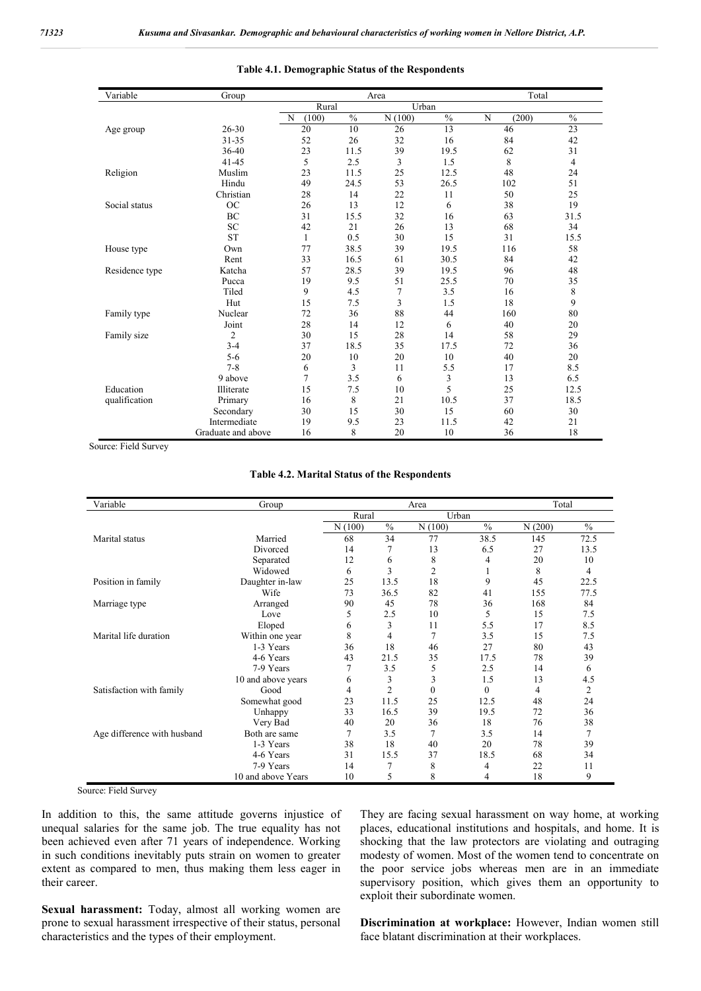| Variable       | Group              | Area           |               |        |               | Total      |               |  |
|----------------|--------------------|----------------|---------------|--------|---------------|------------|---------------|--|
|                |                    | Rural<br>Urban |               |        |               |            |               |  |
|                |                    | N<br>(100)     | $\frac{0}{0}$ | N(100) | $\frac{0}{0}$ | N<br>(200) | $\frac{0}{0}$ |  |
| Age group      | 26-30              | 20             | 10            | 26     | 13            | 46         | 23            |  |
|                | 31-35              | 52             | 26            | 32     | 16            | 84         | 42            |  |
|                | 36-40              | 23             | 11.5          | 39     | 19.5          | 62         | 31            |  |
|                | $41 - 45$          | 5              | 2.5           | 3      | 1.5           | 8          | 4             |  |
| Religion       | Muslim             | 23             | 11.5          | 25     | 12.5          | 48         | 24            |  |
|                | Hindu              | 49             | 24.5          | 53     | 26.5          | 102        | 51            |  |
|                | Christian          | 28             | 14            | 22     | 11            | 50         | 25            |  |
| Social status  | <b>OC</b>          | 26             | 13            | 12     | 6             | 38         | 19            |  |
|                | BC                 | 31             | 15.5          | 32     | 16            | 63         | 31.5          |  |
|                | <b>SC</b>          | 42             | 21            | 26     | 13            | 68         | 34            |  |
|                | <b>ST</b>          | $\mathbf{1}$   | 0.5           | 30     | 15            | 31         | 15.5          |  |
| House type     | Own                | 77             | 38.5          | 39     | 19.5          | 116        | 58            |  |
|                | Rent               | 33             | 16.5          | 61     | 30.5          | 84         | 42            |  |
| Residence type | Katcha             | 57             | 28.5          | 39     | 19.5          | 96         | 48            |  |
|                | Pucca              | 19             | 9.5           | 51     | 25.5          | 70         | 35            |  |
|                | Tiled              | 9              | 4.5           | 7      | 3.5           | 16         | 8             |  |
|                | Hut                | 15             | 7.5           | 3      | 1.5           | 18         | 9             |  |
| Family type    | Nuclear            | 72             | 36            | 88     | 44            | 160        | 80            |  |
|                | Joint              | 28             | 14            | 12     | 6             | 40         | 20            |  |
| Family size    | 2                  | 30             | 15            | 28     | 14            | 58         | 29            |  |
|                | $3 - 4$            | 37             | 18.5          | 35     | 17.5          | 72         | 36            |  |
|                | $5 - 6$            | 20             | 10            | 20     | 10            | 40         | 20            |  |
|                | $7 - 8$            | 6              | 3             | 11     | 5.5           | 17         | 8.5           |  |
|                | 9 above            | 7              | 3.5           | 6      | 3             | 13         | 6.5           |  |
| Education      | Illiterate         | 15             | 7.5           | 10     | 5             | 25         | 12.5          |  |
| qualification  | Primary            | 16             | 8             | 21     | 10.5          | 37         | 18.5          |  |
|                | Secondary          | 30             | 15            | 30     | 15            | 60         | 30            |  |
|                | Intermediate       | 19             | 9.5           | 23     | 11.5          | 42         | 21            |  |
|                | Graduate and above | 16             | 8             | 20     | 10            | 36         | 18            |  |

**Table 4.1. Demographic Status of the Respondents**

Source: Field Survey

#### **Table 4.2. Marital Status of the Respondents**

| Variable                    | Group              | Area   |                |                |               | Total  |               |  |
|-----------------------------|--------------------|--------|----------------|----------------|---------------|--------|---------------|--|
|                             |                    | Rural  |                | Urban          |               |        |               |  |
|                             |                    | N(100) | $\frac{0}{0}$  | N(100)         | $\frac{0}{0}$ | N(200) | $\frac{0}{0}$ |  |
| Marital status              | Married            | 68     | 34             | 77             | 38.5          | 145    | 72.5          |  |
|                             | Divorced           | 14     | 7              | 13             | 6.5           | 27     | 13.5          |  |
|                             | Separated          | 12     | 6              | 8              | 4             | 20     | 10            |  |
|                             | Widowed            | 6      | 3              | $\overline{2}$ |               | 8      | 4             |  |
| Position in family          | Daughter in-law    | 25     | 13.5           | 18             | 9             | 45     | 22.5          |  |
|                             | Wife               | 73     | 36.5           | 82             | 41            | 155    | 77.5          |  |
| Marriage type               | Arranged           | 90     | 45             | 78             | 36            | 168    | 84            |  |
|                             | Love               | 5      | 2.5            | 10             | 5             | 15     | 7.5           |  |
|                             | Eloped             | 6      | 3              | 11             | 5.5           | 17     | 8.5           |  |
| Marital life duration       | Within one year    | 8      | 4              | $\overline{7}$ | 3.5           | 15     | 7.5           |  |
|                             | 1-3 Years          | 36     | 18             | 46             | 27            | 80     | 43            |  |
|                             | 4-6 Years          | 43     | 21.5           | 35             | 17.5          | 78     | 39            |  |
|                             | 7-9 Years          | 7      | 3.5            | 5              | 2.5           | 14     | 6             |  |
|                             | 10 and above years | 6      | 3              | 3              | 1.5           | 13     | 4.5           |  |
| Satisfaction with family    | Good               | 4      | $\overline{2}$ | $\theta$       | $\Omega$      | 4      | 2             |  |
|                             | Somewhat good      | 23     | 11.5           | 25             | 12.5          | 48     | 24            |  |
|                             | Unhappy            | 33     | 16.5           | 39             | 19.5          | 72     | 36            |  |
|                             | Very Bad           | 40     | 20             | 36             | 18            | 76     | 38            |  |
| Age difference with husband | Both are same      | 7      | 3.5            | 7              | 3.5           | 14     | 7             |  |
|                             | 1-3 Years          | 38     | 18             | 40             | 20            | 78     | 39            |  |
|                             | 4-6 Years          | 31     | 15.5           | 37             | 18.5          | 68     | 34            |  |
|                             | 7-9 Years          | 14     | 7              | 8              | 4             | 22     | 11            |  |
|                             | 10 and above Years | 10     | 5              | 8              | 4             | 18     | 9             |  |

Source: Field Survey

In addition to this, the same attitude governs injustice of unequal salaries for the same job. The true equality has not been achieved even after 71 years of independence. Working in such conditions inevitably puts strain on women to greater extent as compared to men, thus making them less eager in their career.

**Sexual harassment:** Today, almost all working women are prone to sexual harassment irrespective of their status, personal characteristics and the types of their employment.

They are facing sexual harassment on way home, at working places, educational institutions and hospitals, and home. It is shocking that the law protectors are violating and outraging modesty of women. Most of the women tend to concentrate on the poor service jobs whereas men are in an immediate supervisory position, which gives them an opportunity to exploit their subordinate women.

**Discrimination at workplace:** However, Indian women still face blatant discrimination at their workplaces.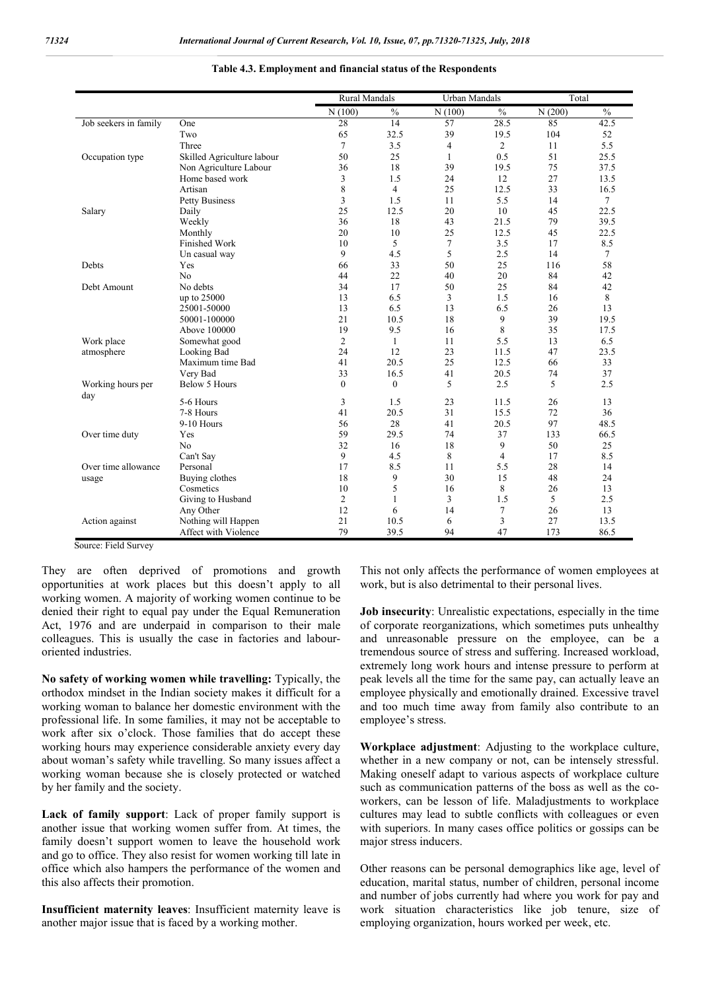|                       |                            |                | <b>Rural Mandals</b> |              | <b>Urban Mandals</b> |        | Total         |  |
|-----------------------|----------------------------|----------------|----------------------|--------------|----------------------|--------|---------------|--|
|                       |                            | N(100)         | $\frac{0}{0}$        | N(100)       | $\frac{0}{0}$        | N(200) | $\frac{0}{0}$ |  |
| Job seekers in family | One                        | 28             | 14                   | 57           | 28.5                 | 85     | 42.5          |  |
|                       | Two                        | 65             | 32.5                 | 39           | 19.5                 | 104    | 52            |  |
|                       | Three                      | $\tau$         | 3.5                  | 4            | $\overline{2}$       | 11     | 5.5           |  |
| Occupation type       | Skilled Agriculture labour | 50             | 25                   | $\mathbf{1}$ | 0.5                  | 51     | 25.5          |  |
|                       | Non Agriculture Labour     | 36             | 18                   | 39           | 19.5                 | 75     | 37.5          |  |
|                       | Home based work            | 3              | 1.5                  | 24           | 12                   | 27     | 13.5          |  |
|                       | Artisan                    | 8              | $\overline{4}$       | 25           | 12.5                 | 33     | 16.5          |  |
|                       | <b>Petty Business</b>      | 3              | 1.5                  | 11           | 5.5                  | 14     | $\tau$        |  |
| Salary                | Daily                      | 25             | 12.5                 | 20           | 10                   | 45     | 22.5          |  |
|                       | Weekly                     | 36             | 18                   | 43           | 21.5                 | 79     | 39.5          |  |
|                       | Monthly                    | 20             | 10                   | 25           | 12.5                 | 45     | 22.5          |  |
|                       | Finished Work              | 10             | 5                    | 7            | 3.5                  | 17     | 8.5           |  |
|                       | Un casual way              | 9              | 4.5                  | 5            | 2.5                  | 14     | $\tau$        |  |
| Debts                 | Yes                        | 66             | 33                   | 50           | 25                   | 116    | 58            |  |
|                       | N <sub>o</sub>             | 44             | 22                   | 40           | 20                   | 84     | 42            |  |
| Debt Amount           | No debts                   | 34             | 17                   | 50           | 25                   | 84     | 42            |  |
|                       | up to 25000                | 13             | 6.5                  | 3            | 1.5                  | 16     | 8             |  |
|                       | 25001-50000                | 13             | 6.5                  | 13           | 6.5                  | 26     | 13            |  |
|                       | 50001-100000               | 21             | 10.5                 | 18           | 9                    | 39     | 19.5          |  |
|                       | Above 100000               | 19             | 9.5                  | 16           | 8                    | 35     | 17.5          |  |
| Work place            | Somewhat good              | $\overline{2}$ | $\mathbf{1}$         | 11           | 5.5                  | 13     | 6.5           |  |
| atmosphere            | Looking Bad                | 24             | 12                   | 23           | 11.5                 | 47     | 23.5          |  |
|                       | Maximum time Bad           | 41             | 20.5                 | 25           | 12.5                 | 66     | 33            |  |
|                       | Very Bad                   | 33             | 16.5                 | 41           | 20.5                 | 74     | 37            |  |
| Working hours per     | <b>Below 5 Hours</b>       | $\theta$       | $\mathbf{0}$         | 5            | 2.5                  | 5      | 2.5           |  |
| day                   | 5-6 Hours                  | 3              | 1.5                  | 23           | 11.5                 | 26     | 13            |  |
|                       | 7-8 Hours                  | 41             | 20.5                 | 31           | 15.5                 | 72     | 36            |  |
|                       | 9-10 Hours                 | 56             | 28                   | 41           | 20.5                 | 97     | 48.5          |  |
|                       |                            | 59             |                      | 74           |                      |        |               |  |
| Over time duty        | Yes                        | 32             | 29.5                 |              | 37                   | 133    | 66.5          |  |
|                       | N <sub>o</sub>             |                | 16                   | 18           | 9                    | 50     | 25            |  |
|                       | Can't Say                  | 9              | 4.5                  | 8            | $\overline{4}$       | 17     | 8.5           |  |
| Over time allowance   | Personal                   | 17             | 8.5                  | 11           | 5.5                  | 28     | 14            |  |
| usage                 | Buying clothes             | 18             | 9                    | 30           | 15                   | 48     | 24            |  |
|                       | Cosmetics                  | 10             | 5                    | 16           | 8                    | 26     | 13            |  |
|                       | Giving to Husband          | $\overline{2}$ | 1                    | 3            | 1.5                  | 5      | 2.5           |  |
|                       | Any Other                  | 12             | 6                    | 14           | 7                    | 26     | 13            |  |
| Action against        | Nothing will Happen        | 21             | 10.5                 | 6            | 3                    | 27     | 13.5          |  |
|                       | Affect with Violence       | 79             | 39.5                 | 94           | 47                   | 173    | 86.5          |  |

**Table 4.3. Employment and financial status of the Respondents**

Source: Field Survey

They are often deprived of promotions and growth opportunities at work places but this doesn't apply to all working women. A majority of working women continue to be denied their right to equal pay under the Equal Remuneration Act, 1976 and are underpaid in comparison to their male colleagues. This is usually the case in factories and labouroriented industries.

**No safety of working women while travelling:** Typically, the orthodox mindset in the Indian society makes it difficult for a working woman to balance her domestic environment with the professional life. In some families, it may not be acceptable to work after six o'clock. Those families that do accept these working hours may experience considerable anxiety every day about woman's safety while travelling. So many issues affect a working woman because she is closely protected or watched by her family and the society.

**Lack of family support**: Lack of proper family support is another issue that working women suffer from. At times, the family doesn't support women to leave the household work and go to office. They also resist for women working till late in office which also hampers the performance of the women and this also affects their promotion.

**Insufficient maternity leaves**: Insufficient maternity leave is another major issue that is faced by a working mother.

This not only affects the performance of women employees at work, but is also detrimental to their personal lives.

**Job insecurity**: Unrealistic expectations, especially in the time of corporate reorganizations, which sometimes puts unhealthy and unreasonable pressure on the employee, can be a tremendous source of stress and suffering. Increased workload, extremely long work hours and intense pressure to perform at peak levels all the time for the same pay, can actually leave an employee physically and emotionally drained. Excessive travel and too much time away from family also contribute to an employee's stress.

**Workplace adjustment**: Adjusting to the workplace culture, whether in a new company or not, can be intensely stressful. Making oneself adapt to various aspects of workplace culture such as communication patterns of the boss as well as the coworkers, can be lesson of life. Maladjustments to workplace cultures may lead to subtle conflicts with colleagues or even with superiors. In many cases office politics or gossips can be major stress inducers.

Other reasons can be personal demographics like age, level of education, marital status, number of children, personal income and number of jobs currently had where you work for pay and work situation characteristics like job tenure, size of employing organization, hours worked per week, etc.